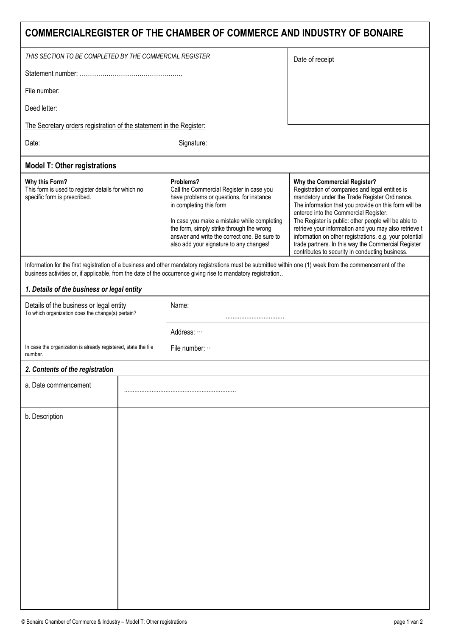| <b>COMMERCIALREGISTER OF THE CHAMBER OF COMMERCE AND INDUSTRY OF BONAIRE</b>                                                                                                                                                                                              |  |                                                                                                                                                                                                                                                                                                                     |                                                                                                                                                                                                                                                                                                                                                                                                                                                                                                                          |  |
|---------------------------------------------------------------------------------------------------------------------------------------------------------------------------------------------------------------------------------------------------------------------------|--|---------------------------------------------------------------------------------------------------------------------------------------------------------------------------------------------------------------------------------------------------------------------------------------------------------------------|--------------------------------------------------------------------------------------------------------------------------------------------------------------------------------------------------------------------------------------------------------------------------------------------------------------------------------------------------------------------------------------------------------------------------------------------------------------------------------------------------------------------------|--|
| THIS SECTION TO BE COMPLETED BY THE COMMERCIAL REGISTER                                                                                                                                                                                                                   |  |                                                                                                                                                                                                                                                                                                                     | Date of receipt                                                                                                                                                                                                                                                                                                                                                                                                                                                                                                          |  |
|                                                                                                                                                                                                                                                                           |  |                                                                                                                                                                                                                                                                                                                     |                                                                                                                                                                                                                                                                                                                                                                                                                                                                                                                          |  |
| File number:                                                                                                                                                                                                                                                              |  |                                                                                                                                                                                                                                                                                                                     |                                                                                                                                                                                                                                                                                                                                                                                                                                                                                                                          |  |
| Deed letter:                                                                                                                                                                                                                                                              |  |                                                                                                                                                                                                                                                                                                                     |                                                                                                                                                                                                                                                                                                                                                                                                                                                                                                                          |  |
| The Secretary orders registration of the statement in the Register:                                                                                                                                                                                                       |  |                                                                                                                                                                                                                                                                                                                     |                                                                                                                                                                                                                                                                                                                                                                                                                                                                                                                          |  |
| Date:                                                                                                                                                                                                                                                                     |  | Signature:                                                                                                                                                                                                                                                                                                          |                                                                                                                                                                                                                                                                                                                                                                                                                                                                                                                          |  |
| <b>Model T: Other registrations</b>                                                                                                                                                                                                                                       |  |                                                                                                                                                                                                                                                                                                                     |                                                                                                                                                                                                                                                                                                                                                                                                                                                                                                                          |  |
| Why this Form?<br>This form is used to register details for which no<br>specific form is prescribed.                                                                                                                                                                      |  | Problems?<br>Call the Commercial Register in case you<br>have problems or questions, for instance<br>in completing this form<br>In case you make a mistake while completing<br>the form, simply strike through the wrong<br>answer and write the correct one. Be sure to<br>also add your signature to any changes! | Why the Commercial Register?<br>Registration of companies and legal entities is<br>mandatory under the Trade Register Ordinance.<br>The information that you provide on this form will be<br>entered into the Commercial Register.<br>The Register is public: other people will be able to<br>retrieve your information and you may also retrieve t<br>information on other registrations, e.g. your potential<br>trade partners. In this way the Commercial Register<br>contributes to security in conducting business. |  |
| Information for the first registration of a business and other mandatory registrations must be submitted within one (1) week from the commencement of the<br>business activities or, if applicable, from the date of the occurrence giving rise to mandatory registration |  |                                                                                                                                                                                                                                                                                                                     |                                                                                                                                                                                                                                                                                                                                                                                                                                                                                                                          |  |
| 1. Details of the business or legal entity                                                                                                                                                                                                                                |  |                                                                                                                                                                                                                                                                                                                     |                                                                                                                                                                                                                                                                                                                                                                                                                                                                                                                          |  |
| Details of the business or legal entity<br>To which organization does the change(s) pertain?                                                                                                                                                                              |  | Name:                                                                                                                                                                                                                                                                                                               |                                                                                                                                                                                                                                                                                                                                                                                                                                                                                                                          |  |
|                                                                                                                                                                                                                                                                           |  | Address:                                                                                                                                                                                                                                                                                                            |                                                                                                                                                                                                                                                                                                                                                                                                                                                                                                                          |  |
| In case the organization is already registered, state the file<br>number.                                                                                                                                                                                                 |  | File number:                                                                                                                                                                                                                                                                                                        |                                                                                                                                                                                                                                                                                                                                                                                                                                                                                                                          |  |
| 2. Contents of the registration                                                                                                                                                                                                                                           |  |                                                                                                                                                                                                                                                                                                                     |                                                                                                                                                                                                                                                                                                                                                                                                                                                                                                                          |  |
| a. Date commencement                                                                                                                                                                                                                                                      |  |                                                                                                                                                                                                                                                                                                                     |                                                                                                                                                                                                                                                                                                                                                                                                                                                                                                                          |  |
| b. Description                                                                                                                                                                                                                                                            |  |                                                                                                                                                                                                                                                                                                                     |                                                                                                                                                                                                                                                                                                                                                                                                                                                                                                                          |  |